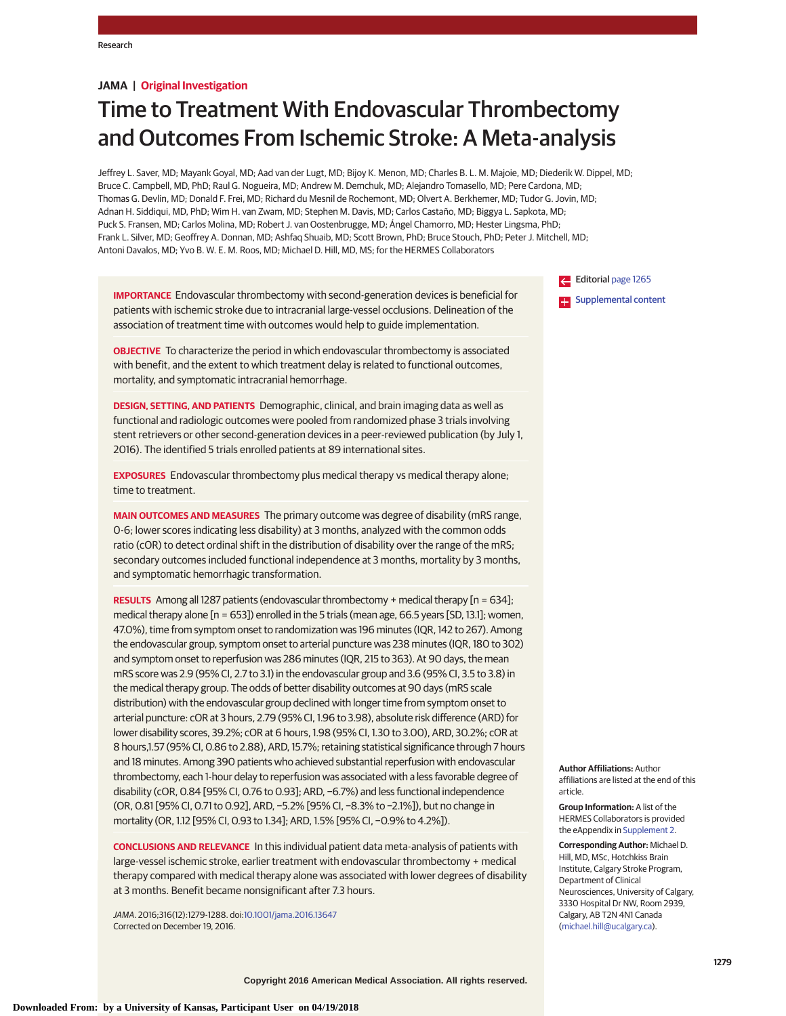# **JAMA | Original Investigation**

# Time to Treatment With Endovascular Thrombectomy and Outcomes From Ischemic Stroke: A Meta-analysis

Jeffrey L. Saver, MD; Mayank Goyal, MD; Aad van der Lugt, MD; Bijoy K. Menon, MD; Charles B. L. M. Majoie, MD; Diederik W. Dippel, MD; Bruce C. Campbell, MD, PhD; Raul G. Nogueira, MD; Andrew M. Demchuk, MD; Alejandro Tomasello, MD; Pere Cardona, MD; Thomas G. Devlin, MD; Donald F. Frei, MD; Richard du Mesnil de Rochemont, MD; Olvert A. Berkhemer, MD; Tudor G. Jovin, MD; Adnan H. Siddiqui, MD, PhD; Wim H. van Zwam, MD; Stephen M. Davis, MD; Carlos Castaño, MD; Biggya L. Sapkota, MD; Puck S. Fransen, MD; Carlos Molina, MD; Robert J. van Oostenbrugge, MD; Ángel Chamorro, MD; Hester Lingsma, PhD; Frank L. Silver, MD; Geoffrey A. Donnan, MD; Ashfaq Shuaib, MD; Scott Brown, PhD; Bruce Stouch, PhD; Peter J. Mitchell, MD; Antoni Davalos, MD; Yvo B. W. E. M. Roos, MD; Michael D. Hill, MD, MS; for the HERMES Collaborators

**IMPORTANCE** Endovascular thrombectomy with second-generation devices is beneficial for patients with ischemic stroke due to intracranial large-vessel occlusions. Delineation of the association of treatment time with outcomes would help to guide implementation.

**OBJECTIVE** To characterize the period in which endovascular thrombectomy is associated with benefit, and the extent to which treatment delay is related to functional outcomes, mortality, and symptomatic intracranial hemorrhage.

**DESIGN, SETTING, AND PATIENTS** Demographic, clinical, and brain imaging data as well as functional and radiologic outcomes were pooled from randomized phase 3 trials involving stent retrievers or other second-generation devices in a peer-reviewed publication (by July 1, 2016). The identified 5 trials enrolled patients at 89 international sites.

**EXPOSURES** Endovascular thrombectomy plus medical therapy vs medical therapy alone; time to treatment.

**MAIN OUTCOMES AND MEASURES** The primary outcome was degree of disability (mRS range, 0-6; lower scores indicating less disability) at 3 months, analyzed with the common odds ratio (cOR) to detect ordinal shift in the distribution of disability over the range of the mRS; secondary outcomes included functional independence at 3 months, mortality by 3 months, and symptomatic hemorrhagic transformation.

**RESULTS** Among all 1287 patients (endovascular thrombectomy + medical therapy [n = 634]; medical therapy alone [n = 653]) enrolled in the 5 trials (mean age, 66.5 years [SD, 13.1]; women, 47.0%), time from symptom onset to randomization was 196 minutes (IQR, 142 to 267). Among the endovascular group, symptom onset to arterial puncture was 238 minutes (IQR, 180 to 302) and symptom onset to reperfusion was 286 minutes (IQR, 215 to 363). At 90 days, the mean mRS score was 2.9 (95% CI, 2.7 to 3.1) in the endovascular group and 3.6 (95% CI, 3.5 to 3.8) in the medical therapy group. The odds of better disability outcomes at 90 days (mRS scale distribution) with the endovascular group declined with longer time from symptom onset to arterial puncture: cOR at 3 hours, 2.79 (95% CI, 1.96 to 3.98), absolute risk difference (ARD) for lower disability scores, 39.2%; cOR at 6 hours, 1.98 (95% CI, 1.30 to 3.00), ARD, 30.2%; cOR at 8 hours,1.57 (95% CI, 0.86 to 2.88), ARD, 15.7%; retaining statistical significance through 7 hours and 18 minutes. Among 390 patients who achieved substantial reperfusion with endovascular thrombectomy, each 1-hour delay to reperfusion was associated with a less favorable degree of disability (cOR, 0.84 [95% CI, 0.76 to 0.93]; ARD, −6.7%) and less functional independence (OR, 0.81 [95% CI, 0.71 to 0.92], ARD, −5.2% [95% CI, −8.3% to −2.1%]), but no change in mortality (OR, 1.12 [95% CI, 0.93 to 1.34]; ARD, 1.5% [95% CI, −0.9% to 4.2%]).

**CONCLUSIONS AND RELEVANCE** In this individual patient data meta-analysis of patients with large-vessel ischemic stroke, earlier treatment with endovascular thrombectomy + medical therapy compared with medical therapy alone was associated with lower degrees of disability at 3 months. Benefit became nonsignificant after 7.3 hours.

JAMA. 2016;316(12):1279-1288. doi[:10.1001/jama.2016.13647](http://jama.jamanetwork.com/article.aspx?doi=10.1001/jama.2016.13647&utm_campaign=articlePDF%26utm_medium=articlePDFlink%26utm_source=articlePDF%26utm_content=jama.2016.13647) Corrected on December 19, 2016.

Editorial [page 1265](http://jama.jamanetwork.com/article.aspx?doi=10.1001/jama.2016.12266&utm_campaign=articlePDF%26utm_medium=articlePDFlink%26utm_source=articlePDF%26utm_content=jama.2016.13647)

**Examplemental content** 

**Author Affiliations:** Author affiliations are listed at the end of this article.

**Group Information:** A list of the HERMES Collaborators is provided the eAppendix in [Supplement 2.](http://jama.jamanetwork.com/article.aspx?doi=10.1001/jama.2016.13647&utm_campaign=articlePDF%26utm_medium=articlePDFlink%26utm_source=articlePDF%26utm_content=jama.2016.13647)

**Corresponding Author:** Michael D. Hill, MD, MSc, Hotchkiss Brain Institute, Calgary Stroke Program, Department of Clinical Neurosciences, University of Calgary, 3330 Hospital Dr NW, Room 2939, Calgary, AB T2N 4N1 Canada [\(michael.hill@ucalgary.ca\)](mailto:michael.hill@ucalgary.ca).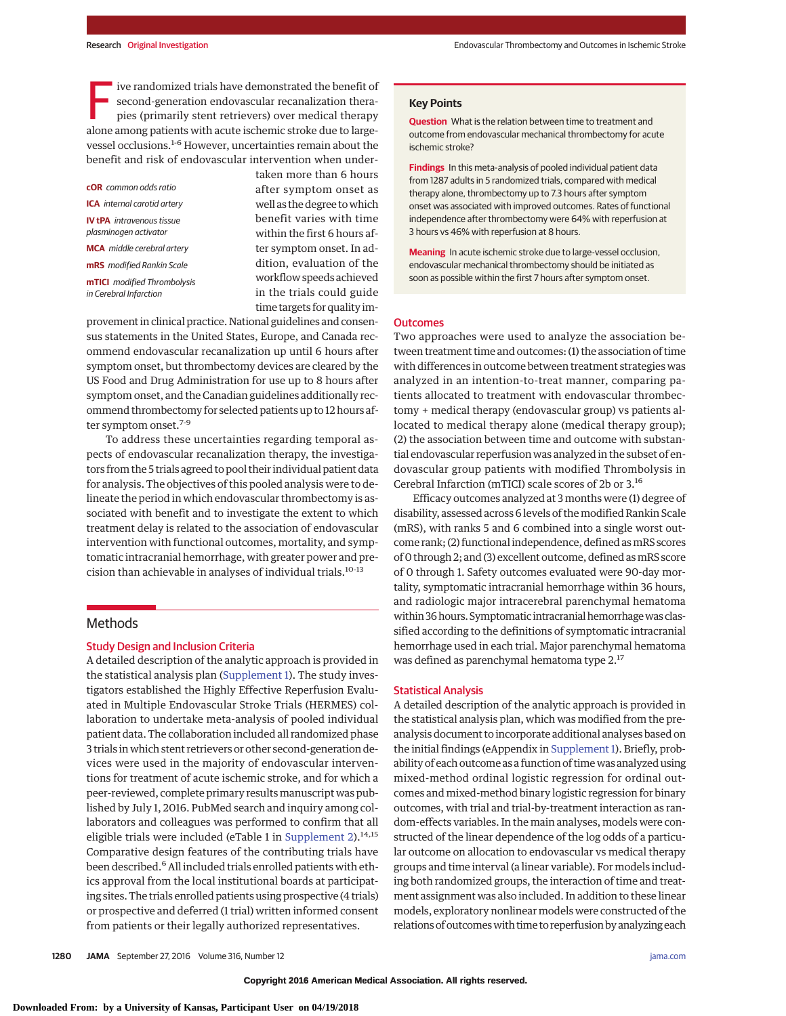Five randomized trials have demonstrated the benefit of<br>second-generation endovascular recanalization thera-<br>pies (primarily stent retrievers) over medical therapy<br>along among patients with acute ischemic stroke due to lar second-generation endovascular recanalization theraalone among patients with acute ischemic stroke due to largevessel occlusions.1-6 However, uncertainties remain about the benefit and risk of endovascular intervention when under-

**cOR** common odds ratio **ICA** internal carotid artery

**IV tPA** intravenous tissue plasminogen activator **MCA** middle cerebral artery **mRS** modified Rankin Scale

**mTICI** modified Thrombolysis in Cerebral Infarction

taken more than 6 hours after symptom onset as well as the degree towhich benefit varies with time within the first 6 hours after symptom onset. In addition, evaluation of the workflow speeds achieved in the trials could guide time targets for quality im-

provement in clinical practice. National guidelines and consensus statements in the United States, Europe, and Canada recommend endovascular recanalization up until 6 hours after symptom onset, but thrombectomy devices are cleared by the US Food and Drug Administration for use up to 8 hours after symptom onset, and the Canadian guidelines additionally recommend thrombectomy for selected patients up to 12 hours after symptom onset.<sup>7-9</sup>

To address these uncertainties regarding temporal aspects of endovascular recanalization therapy, the investigators from the 5 trials agreed to pool their individual patient data for analysis. The objectives of this pooled analysis were to delineate the period in which endovascular thrombectomy is associated with benefit and to investigate the extent to which treatment delay is related to the association of endovascular intervention with functional outcomes, mortality, and symptomatic intracranial hemorrhage, with greater power and precision than achievable in analyses of individual trials.10-13

# **Methods**

## Study Design and Inclusion Criteria

A detailed description of the analytic approach is provided in the statistical analysis plan [\(Supplement 1\)](http://jama.jamanetwork.com/article.aspx?doi=10.1001/jama.2016.13647&utm_campaign=articlePDF%26utm_medium=articlePDFlink%26utm_source=articlePDF%26utm_content=jama.2016.13647). The study investigators established the Highly Effective Reperfusion Evaluated in Multiple Endovascular Stroke Trials (HERMES) collaboration to undertake meta-analysis of pooled individual patient data. The collaboration included all randomized phase 3 trials in which stent retrievers or other second-generation devices were used in the majority of endovascular interventions for treatment of acute ischemic stroke, and for which a peer-reviewed, complete primary resultsmanuscript was published by July 1, 2016. PubMed search and inquiry among collaborators and colleagues was performed to confirm that all eligible trials were included (eTable 1 in [Supplement 2\)](http://jama.jamanetwork.com/article.aspx?doi=10.1001/jama.2016.13647&utm_campaign=articlePDF%26utm_medium=articlePDFlink%26utm_source=articlePDF%26utm_content=jama.2016.13647). $14,15$ Comparative design features of the contributing trials have been described.<sup>6</sup> All included trials enrolled patients with ethics approval from the local institutional boards at participating sites. The trials enrolled patients using prospective (4 trials) or prospective and deferred (1 trial) written informed consent from patients or their legally authorized representatives.

#### **Key Points**

**Question** What is the relation between time to treatment and outcome from endovascular mechanical thrombectomy for acute ischemic stroke?

**Findings** In this meta-analysis of pooled individual patient data from 1287 adults in 5 randomized trials, compared with medical therapy alone, thrombectomy up to 7.3 hours after symptom onset was associated with improved outcomes. Rates of functional independence after thrombectomy were 64% with reperfusion at 3 hours vs 46% with reperfusion at 8 hours.

**Meaning** In acute ischemic stroke due to large-vessel occlusion, endovascular mechanical thrombectomy should be initiated as soon as possible within the first 7 hours after symptom onset.

## **Outcomes**

Two approaches were used to analyze the association between treatment time and outcomes: (1) the association of time with differences in outcome between treatment strategies was analyzed in an intention-to-treat manner, comparing patients allocated to treatment with endovascular thrombectomy + medical therapy (endovascular group) vs patients allocated to medical therapy alone (medical therapy group); (2) the association between time and outcome with substantial endovascular reperfusion was analyzed in the subset of endovascular group patients with modified Thrombolysis in Cerebral Infarction (mTICI) scale scores of 2b or 3.16

Efficacy outcomes analyzed at 3 months were (1) degree of disability, assessed across 6 levels of themodified Rankin Scale (mRS), with ranks 5 and 6 combined into a single worst outcome rank; (2) functional independence, defined as mRS scores of 0 through 2; and (3) excellent outcome, defined asmRS score of 0 through 1. Safety outcomes evaluated were 90-day mortality, symptomatic intracranial hemorrhage within 36 hours, and radiologic major intracerebral parenchymal hematoma within 36 hours. Symptomatic intracranial hemorrhage was classified according to the definitions of symptomatic intracranial hemorrhage used in each trial. Major parenchymal hematoma was defined as parenchymal hematoma type 2.<sup>17</sup>

### Statistical Analysis

A detailed description of the analytic approach is provided in the statistical analysis plan, which was modified from the preanalysis document to incorporate additional analyses based on the initial findings (eAppendix in [Supplement 1\)](http://jama.jamanetwork.com/article.aspx?doi=10.1001/jama.2016.13647&utm_campaign=articlePDF%26utm_medium=articlePDFlink%26utm_source=articlePDF%26utm_content=jama.2016.13647). Briefly, probability of each outcome as a function of timewas analyzed using mixed-method ordinal logistic regression for ordinal outcomes and mixed-method binary logistic regression for binary outcomes, with trial and trial-by-treatment interaction as random-effects variables. In the main analyses, models were constructed of the linear dependence of the log odds of a particular outcome on allocation to endovascular vs medical therapy groups and time interval (a linear variable). For models including both randomized groups, the interaction of time and treatment assignment was also included. In addition to these linear models, exploratory nonlinear models were constructed of the relations of outcomeswith time to reperfusion by analyzing each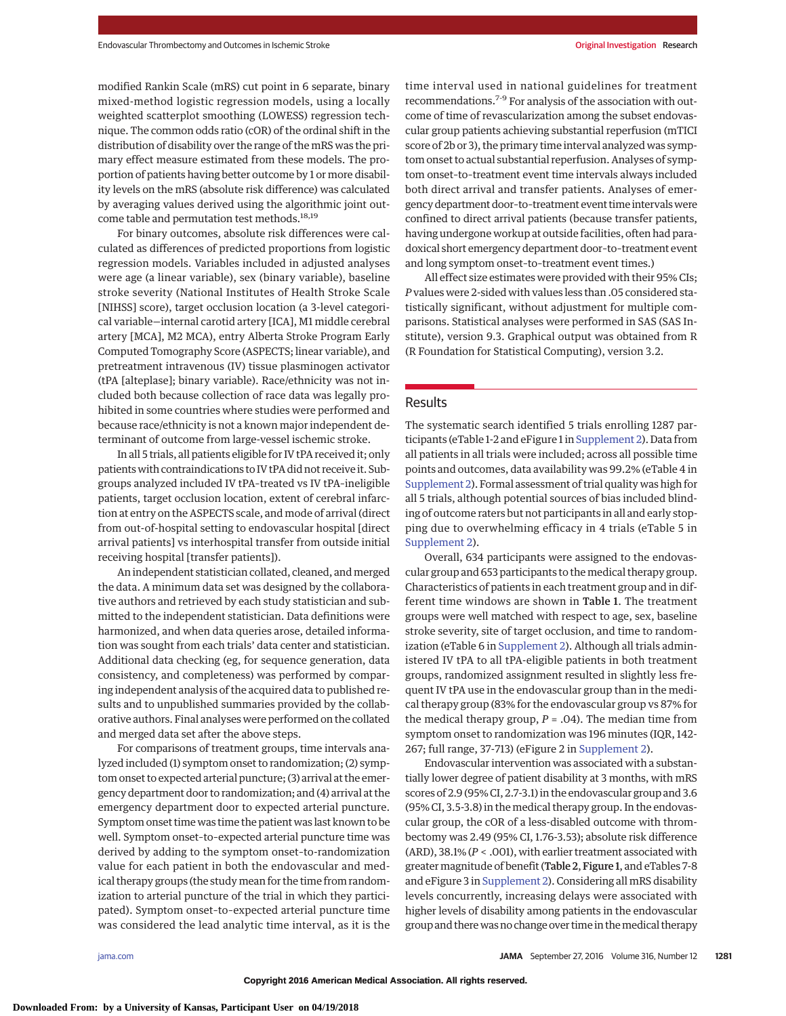modified Rankin Scale (mRS) cut point in 6 separate, binary mixed-method logistic regression models, using a locally weighted scatterplot smoothing (LOWESS) regression technique. The common odds ratio (cOR) of the ordinal shift in the distribution of disability over the range of the mRS was the primary effect measure estimated from these models. The proportion of patients having better outcome by 1 or more disability levels on the mRS (absolute risk difference) was calculated by averaging values derived using the algorithmic joint outcome table and permutation test methods.<sup>18,19</sup>

For binary outcomes, absolute risk differences were calculated as differences of predicted proportions from logistic regression models. Variables included in adjusted analyses were age (a linear variable), sex (binary variable), baseline stroke severity (National Institutes of Health Stroke Scale [NIHSS] score), target occlusion location (a 3-level categorical variable—internal carotid artery [ICA], M1 middle cerebral artery [MCA], M2 MCA), entry Alberta Stroke Program Early Computed Tomography Score (ASPECTS; linear variable), and pretreatment intravenous (IV) tissue plasminogen activator (tPA [alteplase]; binary variable). Race/ethnicity was not included both because collection of race data was legally prohibited in some countries where studies were performed and because race/ethnicity is not a known major independent determinant of outcome from large-vessel ischemic stroke.

In all 5 trials, all patients eligible for IV tPA received it; only patients with contraindications to IV tPA did not receive it. Subgroups analyzed included IV tPA–treated vs IV tPA–ineligible patients, target occlusion location, extent of cerebral infarction at entry on the ASPECTS scale, and mode of arrival (direct from out-of-hospital setting to endovascular hospital [direct arrival patients] vs interhospital transfer from outside initial receiving hospital [transfer patients]).

An independent statistician collated, cleaned, and merged the data. A minimum data set was designed by the collaborative authors and retrieved by each study statistician and submitted to the independent statistician. Data definitions were harmonized, and when data queries arose, detailed information was sought from each trials' data center and statistician. Additional data checking (eg, for sequence generation, data consistency, and completeness) was performed by comparing independent analysis of the acquired data to published results and to unpublished summaries provided by the collaborative authors. Final analyses were performed on the collated and merged data set after the above steps.

For comparisons of treatment groups, time intervals analyzed included (1) symptom onset to randomization; (2) symptom onset to expected arterial puncture; (3) arrival at the emergency department door to randomization; and (4) arrival at the emergency department door to expected arterial puncture. Symptom onset time was time the patient was last known to be well. Symptom onset–to–expected arterial puncture time was derived by adding to the symptom onset–to-randomization value for each patient in both the endovascular and medical therapy groups (the study mean for the time from randomization to arterial puncture of the trial in which they participated). Symptom onset–to–expected arterial puncture time was considered the lead analytic time interval, as it is the time interval used in national guidelines for treatment recommendations.7-9 For analysis of the association with outcome of time of revascularization among the subset endovascular group patients achieving substantial reperfusion (mTICI score of 2b or 3), the primary time interval analyzed was symptom onset to actual substantial reperfusion. Analyses of symptom onset–to–treatment event time intervals always included both direct arrival and transfer patients. Analyses of emergency department door–to–treatment event time intervalswere confined to direct arrival patients (because transfer patients, having undergone workup at outside facilities, often had paradoxical short emergency department door–to–treatment event and long symptom onset–to–treatment event times.)

All effect size estimates were provided with their 95% CIs; *P* values were 2-sided with values less than .05 considered statistically significant, without adjustment for multiple comparisons. Statistical analyses were performed in SAS (SAS Institute), version 9.3. Graphical output was obtained from R (R Foundation for Statistical Computing), version 3.2.

# **Results**

The systematic search identified 5 trials enrolling 1287 par-ticipants (eTable 1-2 and eFigure 1 in [Supplement 2\)](http://jama.jamanetwork.com/article.aspx?doi=10.1001/jama.2016.13647&utm_campaign=articlePDF%26utm_medium=articlePDFlink%26utm_source=articlePDF%26utm_content=jama.2016.13647). Data from all patients in all trials were included; across all possible time points and outcomes, data availability was 99.2% (eTable 4 in [Supplement 2\)](http://jama.jamanetwork.com/article.aspx?doi=10.1001/jama.2016.13647&utm_campaign=articlePDF%26utm_medium=articlePDFlink%26utm_source=articlePDF%26utm_content=jama.2016.13647). Formal assessment of trial quality was high for all 5 trials, although potential sources of bias included blinding of outcome raters but not participants in all and early stopping due to overwhelming efficacy in 4 trials (eTable 5 in [Supplement 2\)](http://jama.jamanetwork.com/article.aspx?doi=10.1001/jama.2016.13647&utm_campaign=articlePDF%26utm_medium=articlePDFlink%26utm_source=articlePDF%26utm_content=jama.2016.13647).

Overall, 634 participants were assigned to the endovascular group and 653 participants to themedical therapy group. Characteristics of patients in each treatment group and in different time windows are shown in Table 1. The treatment groups were well matched with respect to age, sex, baseline stroke severity, site of target occlusion, and time to randomization (eTable 6 in [Supplement 2\)](http://jama.jamanetwork.com/article.aspx?doi=10.1001/jama.2016.13647&utm_campaign=articlePDF%26utm_medium=articlePDFlink%26utm_source=articlePDF%26utm_content=jama.2016.13647). Although all trials administered IV tPA to all tPA-eligible patients in both treatment groups, randomized assignment resulted in slightly less frequent IV tPA use in the endovascular group than in the medical therapy group (83% for the endovascular group vs 87% for the medical therapy group,  $P = .04$ ). The median time from symptom onset to randomization was 196 minutes (IQR, 142- 267; full range, 37-713) (eFigure 2 in [Supplement 2\)](http://jama.jamanetwork.com/article.aspx?doi=10.1001/jama.2016.13647&utm_campaign=articlePDF%26utm_medium=articlePDFlink%26utm_source=articlePDF%26utm_content=jama.2016.13647).

Endovascular intervention was associated with a substantially lower degree of patient disability at 3 months, with mRS scores of 2.9 (95% CI, 2.7-3.1) in the endovascular group and 3.6 (95% CI, 3.5-3.8) in the medical therapy group. In the endovascular group, the cOR of a less-disabled outcome with thrombectomy was 2.49 (95% CI, 1.76-3.53); absolute risk difference (ARD), 38.1% (*P* < .001), with earlier treatment associated with greater magnitude of benefit (Table 2, Figure 1, and eTables 7-8 and eFigure 3 in [Supplement 2\)](http://jama.jamanetwork.com/article.aspx?doi=10.1001/jama.2016.13647&utm_campaign=articlePDF%26utm_medium=articlePDFlink%26utm_source=articlePDF%26utm_content=jama.2016.13647). Considering all mRS disability levels concurrently, increasing delays were associated with higher levels of disability among patients in the endovascular group and therewas no change over time in themedical therapy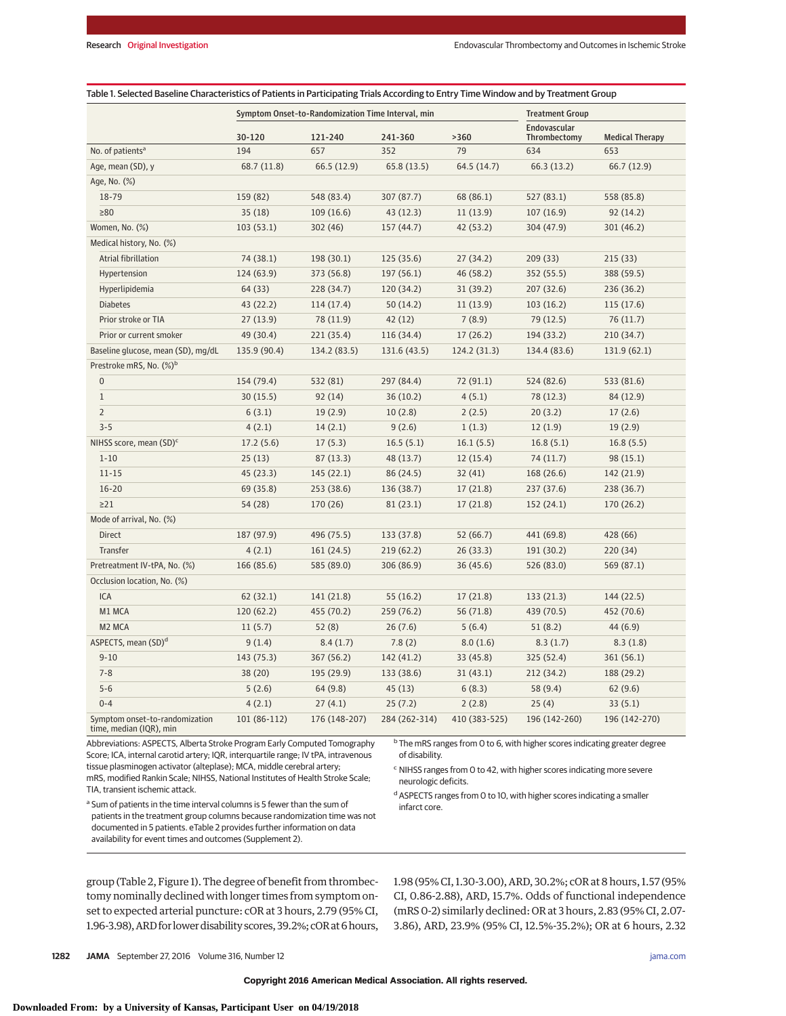|                                                           | Symptom Onset-to-Randomization Time Interval, min |               |               |               | <b>Treatment Group</b>       |                        |
|-----------------------------------------------------------|---------------------------------------------------|---------------|---------------|---------------|------------------------------|------------------------|
|                                                           | 30-120                                            | 121-240       | 241-360       | >360          | Endovascular<br>Thrombectomy | <b>Medical Therapy</b> |
| No. of patients <sup>a</sup>                              | 194                                               | 657           | 352           | 79            | 634                          | 653                    |
| Age, mean (SD), y                                         | 68.7 (11.8)                                       | 66.5 (12.9)   | 65.8 (13.5)   | 64.5 (14.7)   | 66.3 (13.2)                  | 66.7 (12.9)            |
| Age, No. (%)                                              |                                                   |               |               |               |                              |                        |
| 18-79                                                     | 159 (82)                                          | 548 (83.4)    | 307 (87.7)    | 68 (86.1)     | 527 (83.1)                   | 558 (85.8)             |
| $\geq 80$                                                 | 35(18)                                            | 109(16.6)     | 43(12.3)      | 11(13.9)      | 107(16.9)                    | 92(14.2)               |
| Women, No. (%)                                            | 103(53.1)                                         | 302(46)       | 157 (44.7)    | 42 (53.2)     | 304 (47.9)                   | 301 (46.2)             |
| Medical history, No. (%)                                  |                                                   |               |               |               |                              |                        |
| Atrial fibrillation                                       | 74 (38.1)                                         | 198 (30.1)    | 125 (35.6)    | 27 (34.2)     | 209(33)                      | 215(33)                |
| Hypertension                                              | 124 (63.9)                                        | 373 (56.8)    | 197(56.1)     | 46 (58.2)     | 352 (55.5)                   | 388 (59.5)             |
| Hyperlipidemia                                            | 64 (33)                                           | 228 (34.7)    | 120 (34.2)    | 31 (39.2)     | 207 (32.6)                   | 236 (36.2)             |
| <b>Diabetes</b>                                           | 43 (22.2)                                         | 114(17.4)     | 50(14.2)      | 11(13.9)      | 103(16.2)                    | 115 (17.6)             |
| Prior stroke or TIA                                       | 27(13.9)                                          | 78 (11.9)     | 42(12)        | 7(8.9)        | 79 (12.5)                    | 76(11.7)               |
| Prior or current smoker                                   | 49 (30.4)                                         | 221 (35.4)    | 116 (34.4)    | 17(26.2)      | 194 (33.2)                   | 210 (34.7)             |
| Baseline glucose, mean (SD), mg/dL                        | 135.9 (90.4)                                      | 134.2 (83.5)  | 131.6 (43.5)  | 124.2 (31.3)  | 134.4 (83.6)                 | 131.9 (62.1)           |
| Prestroke mRS, No. (%) <sup>b</sup>                       |                                                   |               |               |               |                              |                        |
| $\boldsymbol{0}$                                          | 154 (79.4)                                        | 532 (81)      | 297 (84.4)    | 72 (91.1)     | 524 (82.6)                   | 533 (81.6)             |
| $\mathbf{1}$                                              | 30(15.5)                                          | 92(14)        | 36 (10.2)     | 4(5.1)        | 78 (12.3)                    | 84 (12.9)              |
| $\overline{2}$                                            | 6(3.1)                                            | 19(2.9)       | 10(2.8)       | 2(2.5)        | 20(3.2)                      | 17(2.6)                |
| $3 - 5$                                                   | 4(2.1)                                            | 14(2.1)       | 9(2.6)        | 1(1.3)        | 12(1.9)                      | 19(2.9)                |
| NIHSS score, mean (SD) <sup>c</sup>                       | 17.2(5.6)                                         | 17(5.3)       | 16.5(5.1)     | 16.1(5.5)     | 16.8(5.1)                    | 16.8(5.5)              |
| $1 - 10$                                                  | 25(13)                                            | 87(13.3)      | 48 (13.7)     | 12(15.4)      | 74 (11.7)                    | 98 (15.1)              |
| $11 - 15$                                                 | 45 (23.3)                                         | 145(22.1)     | 86 (24.5)     | 32(41)        | 168 (26.6)                   | 142 (21.9)             |
| $16 - 20$                                                 | 69 (35.8)                                         | 253 (38.6)    | 136 (38.7)    | 17(21.8)      | 237 (37.6)                   | 238 (36.7)             |
| $\geq$ 21                                                 | 54 (28)                                           | 170 (26)      | 81(23.1)      | 17(21.8)      | 152 (24.1)                   | 170 (26.2)             |
| Mode of arrival, No. (%)                                  |                                                   |               |               |               |                              |                        |
| Direct                                                    | 187 (97.9)                                        | 496 (75.5)    | 133 (37.8)    | 52 (66.7)     | 441 (69.8)                   | 428 (66)               |
| Transfer                                                  | 4(2.1)                                            | 161 (24.5)    | 219(62.2)     | 26(33.3)      | 191 (30.2)                   | 220 (34)               |
| Pretreatment IV-tPA, No. (%)                              | 166 (85.6)                                        | 585 (89.0)    | 306 (86.9)    | 36 (45.6)     | 526 (83.0)                   | 569 (87.1)             |
| Occlusion location, No. (%)                               |                                                   |               |               |               |                              |                        |
| ICA                                                       | 62(32.1)                                          | 141 (21.8)    | 55(16.2)      | 17 (21.8)     | 133(21.3)                    | 144 (22.5)             |
| M1 MCA                                                    | 120(62.2)                                         | 455 (70.2)    | 259 (76.2)    | 56 (71.8)     | 439 (70.5)                   | 452 (70.6)             |
| M <sub>2</sub> MCA                                        | 11(5.7)                                           | 52(8)         | 26(7.6)       | 5(6.4)        | 51(8.2)                      | 44(6.9)                |
| ASPECTS, mean (SD) <sup>d</sup>                           | 9(1.4)                                            | 8.4(1.7)      | 7.8(2)        | 8.0(1.6)      | 8.3(1.7)                     | 8.3(1.8)               |
| $9 - 10$                                                  | 143 (75.3)                                        | 367 (56.2)    | 142 (41.2)    | 33 (45.8)     | 325 (52.4)                   | 361 (56.1)             |
| $7 - 8$                                                   | 38(20)                                            | 195 (29.9)    | 133 (38.6)    | 31(43.1)      | 212 (34.2)                   | 188 (29.2)             |
| $5 - 6$                                                   | 5(2.6)                                            | 64 (9.8)      | 45(13)        | 6(8.3)        | 58 (9.4)                     | 62(9.6)                |
| $0 - 4$                                                   | 4(2.1)                                            | 27(4.1)       | 25(7.2)       | 2(2.8)        | 25(4)                        | 33(5.1)                |
| Symptom onset-to-randomization<br>time, median (IQR), min | 101 (86-112)                                      | 176 (148-207) | 284 (262-314) | 410 (383-525) | 196 (142-260)                | 196 (142-270)          |

Abbreviations: ASPECTS, Alberta Stroke Program Early Computed Tomography Score; ICA, internal carotid artery; IQR, interquartile range; IV tPA, intravenous tissue plasminogen activator (alteplase); MCA, middle cerebral artery; mRS, modified Rankin Scale; NIHSS, National Institutes of Health Stroke Scale; TIA, transient ischemic attack.

<sup>a</sup> Sum of patients in the time interval columns is 5 fewer than the sum of patients in the treatment group columns because randomization time was not documented in 5 patients. eTable 2 provides further information on data availability for event times and outcomes (Supplement 2).

<sup>b</sup> The mRS ranges from 0 to 6, with higher scores indicating greater degree of disability.

<sup>c</sup> NIHSS ranges from 0 to 42, with higher scores indicating more severe neurologic deficits.

d ASPECTS ranges from 0 to 10, with higher scores indicating a smaller infarct core.

group (Table 2, Figure 1). The degree of benefit from thrombectomy nominally declined with longer times from symptom onset to expected arterial puncture: cOR at 3 hours, 2.79 (95% CI, 1.96-3.98), ARD for lower disability scores, 39.2%; cOR at 6 hours, 1.98 (95% CI, 1.30-3.00), ARD, 30.2%; cOR at 8 hours, 1.57 (95% CI, 0.86-2.88), ARD, 15.7%. Odds of functional independence (mRS 0-2) similarly declined: OR at 3 hours, 2.83 (95% CI, 2.07- 3.86), ARD, 23.9% (95% CI, 12.5%-35.2%); OR at 6 hours, 2.32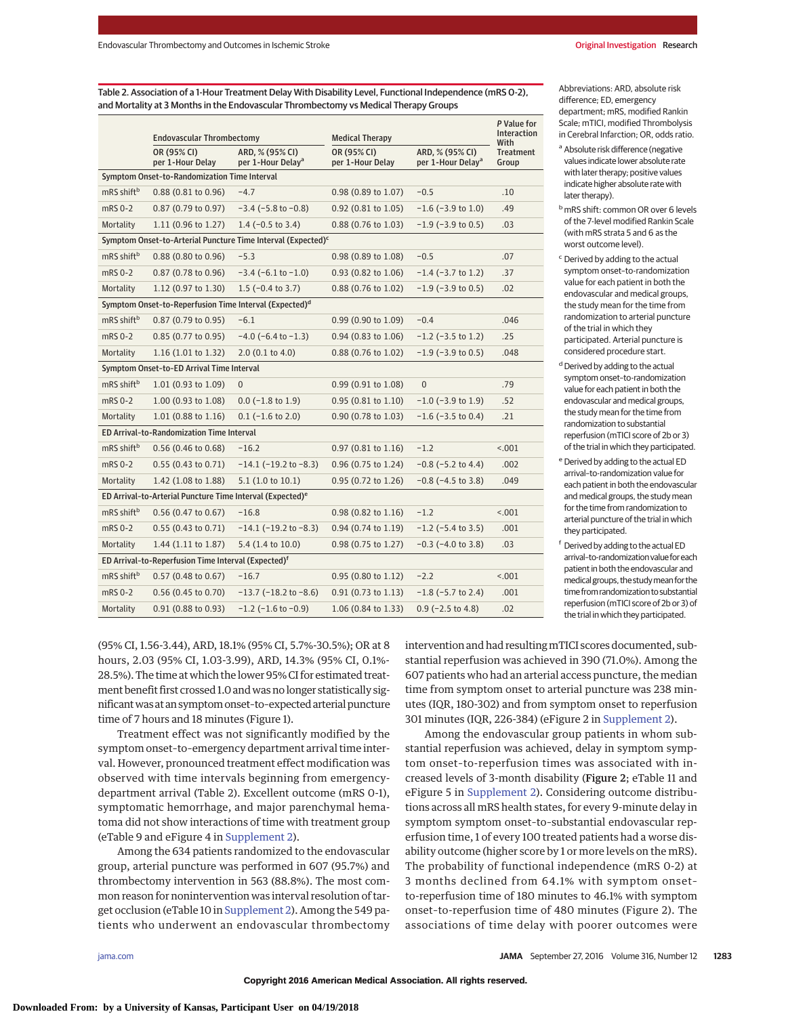Table 2. Association of a 1-Hour Treatment Delay With Disability Level, Functional Independence (mRS 0-2), and Mortality at 3 Months in the Endovascular Thrombectomy vs Medical Therapy Groups

|                                                                          | <b>Endovascular Thrombectomy</b> |                                                  | <b>Medical Therapy</b>          | P Value for<br>Interaction<br>With               |                           |  |  |  |  |
|--------------------------------------------------------------------------|----------------------------------|--------------------------------------------------|---------------------------------|--------------------------------------------------|---------------------------|--|--|--|--|
|                                                                          | OR (95% CI)<br>per 1-Hour Delay  | ARD, % (95% CI)<br>per 1-Hour Delay <sup>a</sup> | OR (95% CI)<br>per 1-Hour Delay | ARD, % (95% CI)<br>per 1-Hour Delay <sup>a</sup> | <b>Treatment</b><br>Group |  |  |  |  |
| Symptom Onset-to-Randomization Time Interval                             |                                  |                                                  |                                 |                                                  |                           |  |  |  |  |
| mRS shift <sup>b</sup>                                                   | 0.88 (0.81 to 0.96)              | $-4.7$                                           | 0.98 (0.89 to 1.07)             | $-0.5$                                           | .10                       |  |  |  |  |
| mRS 0-2                                                                  | 0.87 (0.79 to 0.97)              | $-3.4$ ( $-5.8$ to $-0.8$ )                      | 0.92 (0.81 to 1.05)             | $-1.6$ ( $-3.9$ to 1.0)                          | .49                       |  |  |  |  |
| Mortality                                                                | 1.11 (0.96 to 1.27)              | 1.4 $(-0.5$ to 3.4)                              | 0.88 (0.76 to 1.03)             | $-1.9$ ( $-3.9$ to 0.5)                          | .03                       |  |  |  |  |
| Symptom Onset-to-Arterial Puncture Time Interval (Expected) <sup>c</sup> |                                  |                                                  |                                 |                                                  |                           |  |  |  |  |
| mRS shift <sup>b</sup>                                                   | 0.88 (0.80 to 0.96)              | $-5.3$                                           | $0.98(0.89 \text{ to } 1.08)$   | $-0.5$                                           | .07                       |  |  |  |  |
| mRS 0-2                                                                  | 0.87 (0.78 to 0.96)              | $-3.4$ ( $-6.1$ to $-1.0$ )                      | 0.93 (0.82 to 1.06)             | $-1.4$ ( $-3.7$ to 1.2)                          | .37                       |  |  |  |  |
| Mortality                                                                | 1.12 (0.97 to 1.30)              | 1.5 $(-0.4$ to 3.7)                              | 0.88 (0.76 to 1.02)             | $-1.9$ ( $-3.9$ to 0.5)                          | .02                       |  |  |  |  |
| Symptom Onset-to-Reperfusion Time Interval (Expected) <sup>d</sup>       |                                  |                                                  |                                 |                                                  |                           |  |  |  |  |
| mRS shift <sup>b</sup>                                                   | 0.87 (0.79 to 0.95)              | $-6.1$                                           | 0.99 (0.90 to 1.09)             | $-0.4$                                           | .046                      |  |  |  |  |
| mRS 0-2                                                                  | 0.85 (0.77 to 0.95)              | $-4.0$ ( $-6.4$ to $-1.3$ )                      | $0.94$ (0.83 to 1.06)           | $-1.2$ ( $-3.5$ to 1.2)                          | .25                       |  |  |  |  |
| Mortality                                                                | 1.16 (1.01 to 1.32)              | $2.0$ (0.1 to 4.0)                               | $0.88$ (0.76 to 1.02)           | $-1.9$ ( $-3.9$ to 0.5)                          | .048                      |  |  |  |  |
| Symptom Onset-to-ED Arrival Time Interval                                |                                  |                                                  |                                 |                                                  |                           |  |  |  |  |
| mRS shift <sup>b</sup>                                                   | 1.01 (0.93 to 1.09)              | $\mathbf{0}$                                     | 0.99 (0.91 to 1.08)             | $\mathbf{0}$                                     | .79                       |  |  |  |  |
| mRS 0-2                                                                  | 1.00 (0.93 to 1.08)              | $0.0$ (-1.8 to 1.9)                              | 0.95 (0.81 to 1.10)             | $-1.0$ ( $-3.9$ to 1.9)                          | .52                       |  |  |  |  |
| Mortality                                                                | 1.01 (0.88 to 1.16)              | $0.1$ (-1.6 to 2.0)                              | $0.90$ (0.78 to 1.03)           | $-1.6$ ( $-3.5$ to 0.4)                          | .21                       |  |  |  |  |
| ED Arrival-to-Randomization Time Interval                                |                                  |                                                  |                                 |                                                  |                           |  |  |  |  |
| mRS shift <sup>b</sup>                                                   | 0.56 (0.46 to 0.68)              | $-16.2$                                          | $0.97$ (0.81 to 1.16)           | $-1.2$                                           | < 0.01                    |  |  |  |  |
| mRS 0-2                                                                  | 0.55 (0.43 to 0.71)              | $-14.1$ ( $-19.2$ to $-8.3$ )                    | 0.96 (0.75 to 1.24)             | $-0.8$ ( $-5.2$ to 4.4)                          | .002                      |  |  |  |  |
| Mortality                                                                | 1.42 (1.08 to 1.88)              | 5.1(1.0 to 10.1)                                 | 0.95 (0.72 to 1.26)             | $-0.8$ ( $-4.5$ to 3.8)                          | .049                      |  |  |  |  |
| ED Arrival-to-Arterial Puncture Time Interval (Expected) <sup>e</sup>    |                                  |                                                  |                                 |                                                  |                           |  |  |  |  |
| mRS shift <sup>b</sup>                                                   | 0.56 (0.47 to 0.67)              | $-16.8$                                          | $0.98$ (0.82 to 1.16)           | $-1.2$                                           | < .001                    |  |  |  |  |
| mRS 0-2                                                                  | 0.55 (0.43 to 0.71)              | $-14.1$ ( $-19.2$ to $-8.3$ )                    | 0.94 (0.74 to 1.19)             | $-1.2$ ( $-5.4$ to 3.5)                          | .001                      |  |  |  |  |
| Mortality                                                                | 1.44 (1.11 to 1.87)              | 5.4 (1.4 to 10.0)                                | 0.98 (0.75 to 1.27)             | $-0.3$ ( $-4.0$ to 3.8)                          | .03                       |  |  |  |  |
| ED Arrival-to-Reperfusion Time Interval (Expected) <sup>f</sup>          |                                  |                                                  |                                 |                                                  |                           |  |  |  |  |
| mRS shift <sup>b</sup>                                                   | $0.57$ (0.48 to 0.67)            | $-16.7$                                          | $0.95$ (0.80 to 1.12)           | $-2.2$                                           | < .001                    |  |  |  |  |
| mRS 0-2                                                                  | 0.56 (0.45 to 0.70)              | $-13.7$ ( $-18.2$ to $-8.6$ )                    | 0.91 (0.73 to 1.13)             | $-1.8$ ( $-5.7$ to 2.4)                          | .001                      |  |  |  |  |
| Mortality                                                                | 0.91 (0.88 to 0.93)              | $-1.2$ ( $-1.6$ to $-0.9$ )                      | 1.06 (0.84 to 1.33)             | $0.9$ (-2.5 to 4.8)                              | .02                       |  |  |  |  |

Abbreviations: ARD, absolute risk difference; ED, emergency department; mRS, modified Rankin Scale; mTICI, modified Thrombolysis in Cerebral Infarction; OR, odds ratio.

- <sup>a</sup> Absolute risk difference (negative values indicate lower absolute rate with later therapy; positive values indicate higher absolute rate with later therapy).
- **b** mRS shift: common OR over 6 levels of the 7-level modified Rankin Scale (with mRS strata 5 and 6 as the worst outcome level).
- <sup>c</sup> Derived by adding to the actual symptom onset–to-randomization value for each patient in both the endovascular and medical groups, the study mean for the time from randomization to arterial puncture of the trial in which they participated. Arterial puncture is considered procedure start.
- <sup>d</sup> Derived by adding to the actual symptom onset–to-randomization value for each patient in both the endovascular and medical groups, the study mean for the time from randomization to substantial reperfusion (mTICI score of 2b or 3) of the trial in which they participated.
- <sup>e</sup> Derived by adding to the actual ED arrival–to-randomization value for each patient in both the endovascular and medical groups, the study mean for the time from randomization to arterial puncture of the trial in which they participated.
- <sup>f</sup> Derived by adding to the actual ED arrival–to-randomizationvalue foreach patient in both the endovascular and medical groups, thestudymean for the time from randomization tosubstantial reperfusion (mTICI score of 2b or 3) of the trial in which they participated.

(95% CI, 1.56-3.44), ARD, 18.1% (95% CI, 5.7%-30.5%); OR at 8 hours, 2.03 (95% CI, 1.03-3.99), ARD, 14.3% (95% CI, 0.1%- 28.5%). The time at which the lower 95% CI for estimated treatment benefit first crossed 1.0 and was no longer statistically significantwas at an symptom onset–to–expected arterial puncture time of 7 hours and 18 minutes (Figure 1).

Treatment effect was not significantly modified by the symptom onset–to–emergency department arrival time interval. However, pronounced treatment effect modification was observed with time intervals beginning from emergencydepartment arrival (Table 2). Excellent outcome (mRS 0-1), symptomatic hemorrhage, and major parenchymal hematoma did not show interactions of time with treatment group (eTable 9 and eFigure 4 in [Supplement 2\)](http://jama.jamanetwork.com/article.aspx?doi=10.1001/jama.2016.13647&utm_campaign=articlePDF%26utm_medium=articlePDFlink%26utm_source=articlePDF%26utm_content=jama.2016.13647).

Among the 634 patients randomized to the endovascular group, arterial puncture was performed in 607 (95.7%) and thrombectomy intervention in 563 (88.8%). The most common reason for nonintervention was interval resolution of target occlusion (eTable 10 in [Supplement 2\)](http://jama.jamanetwork.com/article.aspx?doi=10.1001/jama.2016.13647&utm_campaign=articlePDF%26utm_medium=articlePDFlink%26utm_source=articlePDF%26utm_content=jama.2016.13647). Among the 549 patients who underwent an endovascular thrombectomy intervention and had resultingmTICI scores documented, substantial reperfusion was achieved in 390 (71.0%). Among the 607 patients who had an arterial access puncture, the median time from symptom onset to arterial puncture was 238 minutes (IQR, 180-302) and from symptom onset to reperfusion 301 minutes (IQR, 226-384) (eFigure 2 in [Supplement 2\)](http://jama.jamanetwork.com/article.aspx?doi=10.1001/jama.2016.13647&utm_campaign=articlePDF%26utm_medium=articlePDFlink%26utm_source=articlePDF%26utm_content=jama.2016.13647).

Among the endovascular group patients in whom substantial reperfusion was achieved, delay in symptom symptom onset–to-reperfusion times was associated with increased levels of 3-month disability (Figure 2; eTable 11 and eFigure 5 in [Supplement 2\)](http://jama.jamanetwork.com/article.aspx?doi=10.1001/jama.2016.13647&utm_campaign=articlePDF%26utm_medium=articlePDFlink%26utm_source=articlePDF%26utm_content=jama.2016.13647). Considering outcome distributions across all mRS health states, for every 9-minute delay in symptom symptom onset–to–substantial endovascular reperfusion time, 1 of every 100 treated patients had a worse disability outcome (higher score by 1 or more levels on the mRS). The probability of functional independence (mRS 0-2) at 3 months declined from 64.1% with symptom onset– to-reperfusion time of 180 minutes to 46.1% with symptom onset–to-reperfusion time of 480 minutes (Figure 2). The associations of time delay with poorer outcomes were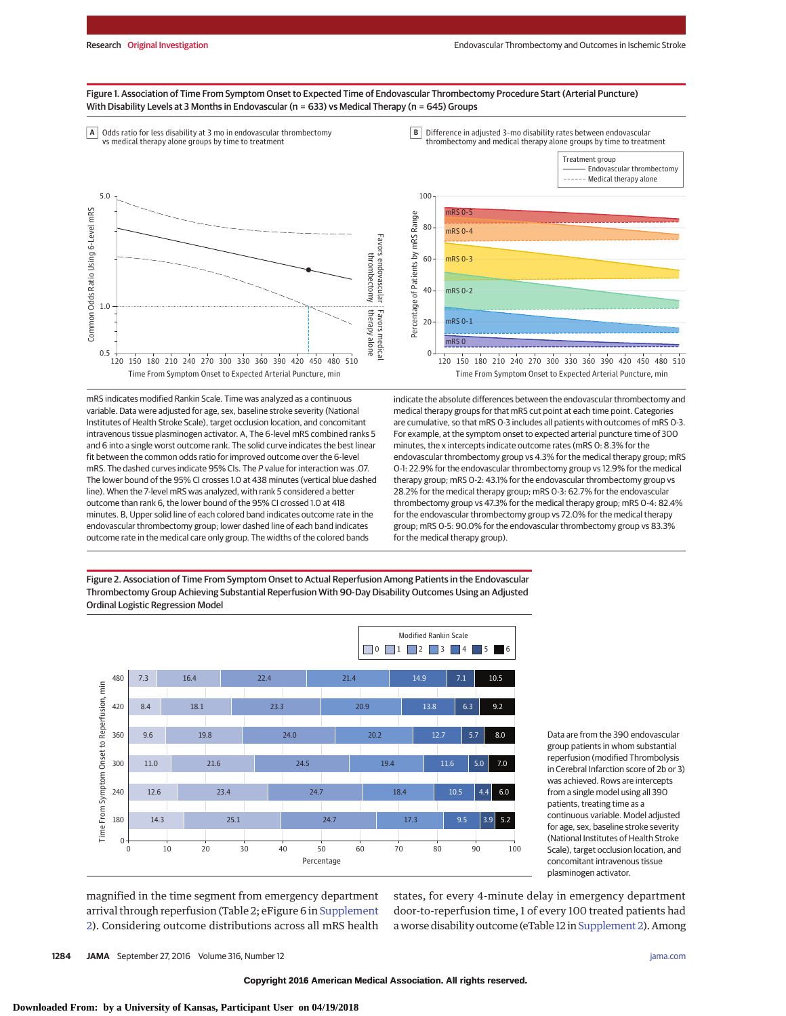Treatment group

Endovascular thrombectomy Medical therapy alone

### Figure 1. Association of Time From Symptom Onset to Expected Time of Endovascular Thrombectomy Procedure Start (Arterial Puncture) With Disability Levels at 3 Months in Endovascular (n = 633) vs Medical Therapy (n = 645) Groups

- Odds ratio for less disability at 3 mo in endovascular thrombectomy **A** vs medical therapy alone groups by time to treatment
- **B** Difference in adjusted 3-mo disability rates between endovascular thrombectomy and medical therapy alone groups by time to treatment



100 mRS 0-5 mRS Range Percentage of Patients by mRS Range 80 mRS 0-4 Percentage of Patients by 60 mRS 0-3 40 mRS 0-2 20 mRS 0-1 mRS 0 0 120 150 180 210 240 270 300 330 360 390 420 450 480 510 Time From Symptom Onset to Expected Arterial Puncture, min

mRS indicates modified Rankin Scale. Time was analyzed as a continuous variable. Data were adjusted for age, sex, baseline stroke severity (National Institutes of Health Stroke Scale), target occlusion location, and concomitant intravenous tissue plasminogen activator. A, The 6-level mRS combined ranks 5 and 6 into a single worst outcome rank. The solid curve indicates the best linear fit between the common odds ratio for improved outcome over the 6-level mRS. The dashed curves indicate 95% CIs. The P value for interaction was .07. The lower bound of the 95% CI crosses 1.0 at 438 minutes (vertical blue dashed line). When the 7-level mRS was analyzed, with rank 5 considered a better outcome than rank 6, the lower bound of the 95% CI crossed 1.0 at 418 minutes. B, Upper solid line of each colored band indicates outcome rate in the endovascular thrombectomy group; lower dashed line of each band indicates outcome rate in the medical care only group. The widths of the colored bands

indicate the absolute differences between the endovascular thrombectomy and medical therapy groups for that mRS cut point at each time point. Categories are cumulative, so that mRS 0-3 includes all patients with outcomes of mRS 0-3. For example, at the symptom onset to expected arterial puncture time of 300 minutes, the x intercepts indicate outcome rates (mRS 0: 8.3% for the endovascular thrombectomy group vs 4.3% for the medical therapy group; mRS 0-1: 22.9% for the endovascular thrombectomy group vs 12.9% for the medical therapy group; mRS 0-2: 43.1% for the endovascular thrombectomy group vs 28.2% for the medical therapy group; mRS 0-3: 62.7% for the endovascular thrombectomy group vs 47.3% for the medical therapy group; mRS 0-4: 82.4% for the endovascular thrombectomy group vs 72.0% for the medical therapy group; mRS 0-5: 90.0% for the endovascular thrombectomy group vs 83.3% for the medical therapy group).

Figure 2. Association of Time From Symptom Onset to Actual Reperfusion Among Patients in the Endovascular Thrombectomy Group Achieving Substantial Reperfusion With 90-Day Disability Outcomes Using an Adjusted Ordinal Logistic Regression Model



Data are from the 390 endovascular group patients in whom substantial reperfusion (modified Thrombolysis in Cerebral Infarction score of 2b or 3) was achieved. Rows are intercepts from a single model using all 390 patients, treating time as a continuous variable. Model adjusted for age, sex, baseline stroke severity (National Institutes of Health Stroke Scale), target occlusion location, and concomitant intravenous tissue plasminogen activator.

magnified in the time segment from emergency department arrival through reperfusion (Table 2; eFigure 6 in [Supplement](http://jama.jamanetwork.com/article.aspx?doi=10.1001/jama.2016.13647&utm_campaign=articlePDF%26utm_medium=articlePDFlink%26utm_source=articlePDF%26utm_content=jama.2016.13647) [2\)](http://jama.jamanetwork.com/article.aspx?doi=10.1001/jama.2016.13647&utm_campaign=articlePDF%26utm_medium=articlePDFlink%26utm_source=articlePDF%26utm_content=jama.2016.13647). Considering outcome distributions across all mRS health states, for every 4-minute delay in emergency department door-to-reperfusion time, 1 of every 100 treated patients had a worse disability outcome (eTable 12 in [Supplement 2\)](http://jama.jamanetwork.com/article.aspx?doi=10.1001/jama.2016.13647&utm_campaign=articlePDF%26utm_medium=articlePDFlink%26utm_source=articlePDF%26utm_content=jama.2016.13647). Among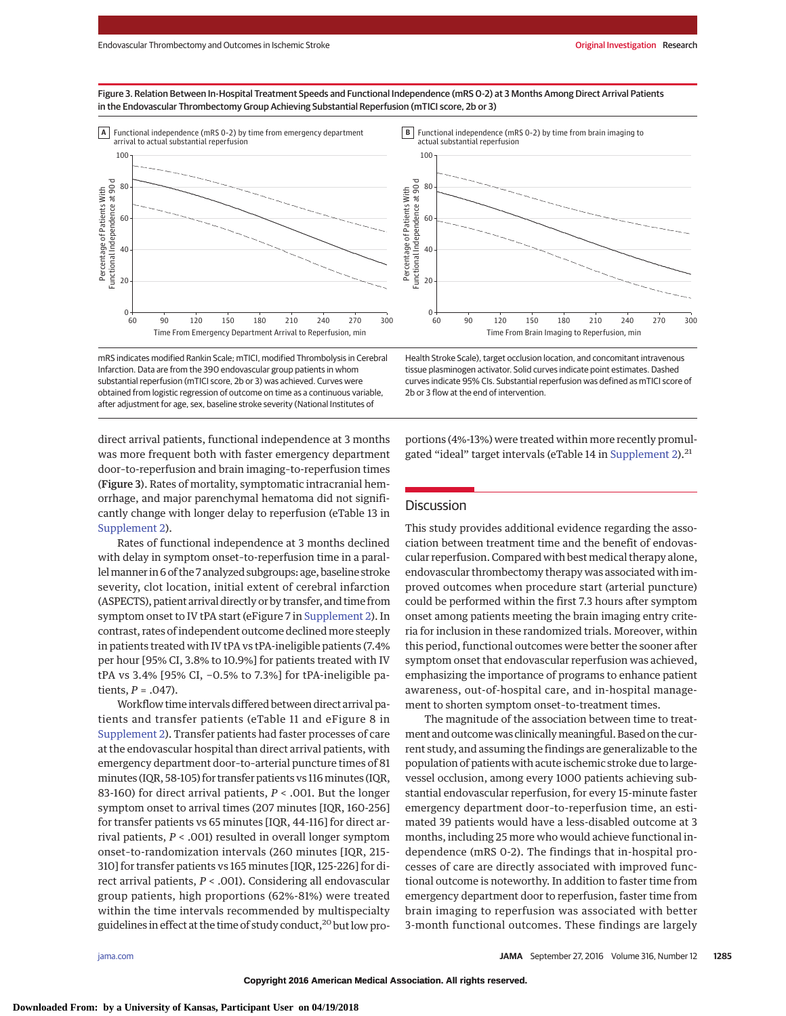#### Figure 3. Relation Between In-Hospital Treatment Speeds and Functional Independence (mRS 0-2) at 3 Months Among Direct Arrival Patients in the Endovascular Thrombectomy Group Achieving Substantial Reperfusion (mTICI score, 2b or 3)



**B** Functional independence (mRS 0-2) by time from brain imaging to actual substantial reperfusion 100 Functional Independence at 90 d Functional Independence at 90 d 80 Percentage of Patients With Percentage of Patients With 60 40 20  $^{+0}_{60}$ 60 240 270 300 90 120 150 180 210 Time From Brain Imaging to Reperfusion, min

mRS indicates modified Rankin Scale; mTICI, modified Thrombolysis in Cerebral Infarction. Data are from the 390 endovascular group patients in whom substantial reperfusion (mTICI score, 2b or 3) was achieved. Curves were obtained from logistic regression of outcome on time as a continuous variable, after adjustment for age, sex, baseline stroke severity (National Institutes of

Health Stroke Scale), target occlusion location, and concomitant intravenous tissue plasminogen activator. Solid curves indicate point estimates. Dashed curves indicate 95% CIs. Substantial reperfusion was defined as mTICI score of 2b or 3 flow at the end of intervention.

direct arrival patients, functional independence at 3 months was more frequent both with faster emergency department door–to-reperfusion and brain imaging–to-reperfusion times (Figure 3). Rates of mortality, symptomatic intracranial hemorrhage, and major parenchymal hematoma did not significantly change with longer delay to reperfusion (eTable 13 in [Supplement 2\)](http://jama.jamanetwork.com/article.aspx?doi=10.1001/jama.2016.13647&utm_campaign=articlePDF%26utm_medium=articlePDFlink%26utm_source=articlePDF%26utm_content=jama.2016.13647).

Rates of functional independence at 3 months declined with delay in symptom onset–to-reperfusion time in a parallelmanner in 6 of the 7 analyzed subgroups: age, baseline stroke severity, clot location, initial extent of cerebral infarction (ASPECTS), patient arrival directly or by transfer, and time from symptom onset to IV tPA start (eFigure 7 in [Supplement 2\)](http://jama.jamanetwork.com/article.aspx?doi=10.1001/jama.2016.13647&utm_campaign=articlePDF%26utm_medium=articlePDFlink%26utm_source=articlePDF%26utm_content=jama.2016.13647). In contrast, rates of independent outcome declined more steeply in patients treated with IV tPA vs tPA-ineligible patients (7.4% per hour [95% CI, 3.8% to 10.9%] for patients treated with IV tPA vs 3.4% [95% CI, −0.5% to 7.3%] for tPA-ineligible patients, *P* = .047).

Workflow time intervals differed between direct arrival patients and transfer patients (eTable 11 and eFigure 8 in [Supplement 2\)](http://jama.jamanetwork.com/article.aspx?doi=10.1001/jama.2016.13647&utm_campaign=articlePDF%26utm_medium=articlePDFlink%26utm_source=articlePDF%26utm_content=jama.2016.13647). Transfer patients had faster processes of care at the endovascular hospital than direct arrival patients, with emergency department door–to–arterial puncture times of 81 minutes (IQR, 58-105) for transfer patients vs 116 minutes (IQR, 83-160) for direct arrival patients, *P* < .001. But the longer symptom onset to arrival times (207 minutes [IQR, 160-256] for transfer patients vs 65 minutes [IQR, 44-116] for direct arrival patients, *P* < .001) resulted in overall longer symptom onset–to-randomization intervals (260 minutes [IQR, 215- 310] for transfer patients vs 165 minutes [IQR, 125-226] for direct arrival patients, *P* < .001). Considering all endovascular group patients, high proportions (62%-81%) were treated within the time intervals recommended by multispecialty guidelines in effect at the time of study conduct,<sup>20</sup> but low proportions (4%-13%) were treated within more recently promul-gated "ideal" target intervals (eTable 14 in [Supplement 2\)](http://jama.jamanetwork.com/article.aspx?doi=10.1001/jama.2016.13647&utm_campaign=articlePDF%26utm_medium=articlePDFlink%26utm_source=articlePDF%26utm_content=jama.2016.13647).<sup>21</sup>

# Discussion

This study provides additional evidence regarding the association between treatment time and the benefit of endovascular reperfusion. Compared with best medical therapy alone, endovascular thrombectomy therapy was associated with improved outcomes when procedure start (arterial puncture) could be performed within the first 7.3 hours after symptom onset among patients meeting the brain imaging entry criteria for inclusion in these randomized trials. Moreover, within this period, functional outcomes were better the sooner after symptom onset that endovascular reperfusion was achieved, emphasizing the importance of programs to enhance patient awareness, out-of-hospital care, and in-hospital management to shorten symptom onset–to-treatment times.

The magnitude of the association between time to treatment and outcomewas clinicallymeaningful. Based on the current study, and assuming the findings are generalizable to the population of patients with acute ischemic stroke due to largevessel occlusion, among every 1000 patients achieving substantial endovascular reperfusion, for every 15-minute faster emergency department door–to-reperfusion time, an estimated 39 patients would have a less-disabled outcome at 3 months, including 25 more who would achieve functional independence (mRS 0-2). The findings that in-hospital processes of care are directly associated with improved functional outcome is noteworthy. In addition to faster time from emergency department door to reperfusion, faster time from brain imaging to reperfusion was associated with better 3-month functional outcomes. These findings are largely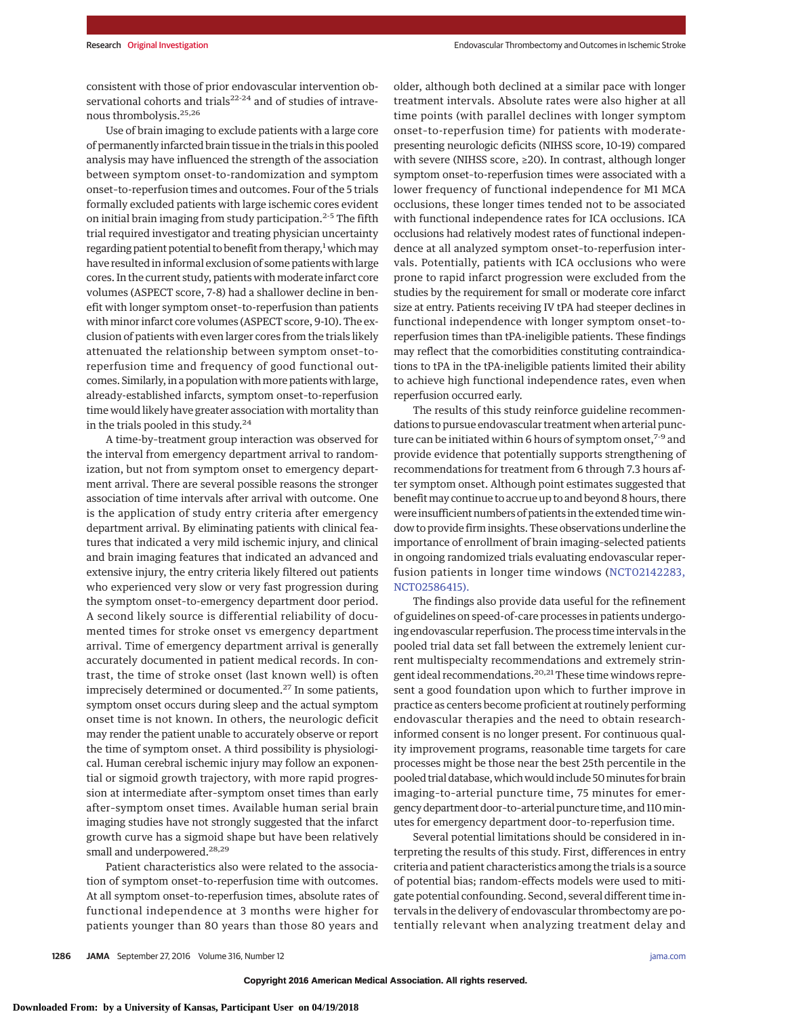consistent with those of prior endovascular intervention observational cohorts and trials<sup>22-24</sup> and of studies of intravenous thrombolysis.25,26

Use of brain imaging to exclude patients with a large core of permanently infarcted brain tissue in the trials in this pooled analysis may have influenced the strength of the association between symptom onset-to-randomization and symptom onset–to-reperfusion times and outcomes. Four of the 5 trials formally excluded patients with large ischemic cores evident on initial brain imaging from study participation.<sup>2-5</sup> The fifth trial required investigator and treating physician uncertainty regarding patient potential to benefit from therapy,<sup>1</sup> which may have resulted in informal exclusion of some patients with large cores. In the current study, patients with moderate infarct core volumes (ASPECT score, 7-8) had a shallower decline in benefit with longer symptom onset–to-reperfusion than patients with minor infarct core volumes (ASPECT score, 9-10). The exclusion of patients with even larger cores from the trials likely attenuated the relationship between symptom onset–toreperfusion time and frequency of good functional outcomes. Similarly, in a population with more patients with large, already-established infarcts, symptom onset–to-reperfusion time would likely have greater association with mortality than in the trials pooled in this study.24

A time-by–treatment group interaction was observed for the interval from emergency department arrival to randomization, but not from symptom onset to emergency department arrival. There are several possible reasons the stronger association of time intervals after arrival with outcome. One is the application of study entry criteria after emergency department arrival. By eliminating patients with clinical features that indicated a very mild ischemic injury, and clinical and brain imaging features that indicated an advanced and extensive injury, the entry criteria likely filtered out patients who experienced very slow or very fast progression during the symptom onset–to-emergency department door period. A second likely source is differential reliability of documented times for stroke onset vs emergency department arrival. Time of emergency department arrival is generally accurately documented in patient medical records. In contrast, the time of stroke onset (last known well) is often imprecisely determined or documented.<sup>27</sup> In some patients, symptom onset occurs during sleep and the actual symptom onset time is not known. In others, the neurologic deficit may render the patient unable to accurately observe or report the time of symptom onset. A third possibility is physiological. Human cerebral ischemic injury may follow an exponential or sigmoid growth trajectory, with more rapid progression at intermediate after–symptom onset times than early after–symptom onset times. Available human serial brain imaging studies have not strongly suggested that the infarct growth curve has a sigmoid shape but have been relatively small and underpowered.<sup>28,29</sup>

Patient characteristics also were related to the association of symptom onset–to-reperfusion time with outcomes. At all symptom onset–to-reperfusion times, absolute rates of functional independence at 3 months were higher for patients younger than 80 years than those 80 years and

older, although both declined at a similar pace with longer treatment intervals. Absolute rates were also higher at all time points (with parallel declines with longer symptom onset–to-reperfusion time) for patients with moderatepresenting neurologic deficits (NIHSS score, 10-19) compared with severe (NIHSS score, ≥20). In contrast, although longer symptom onset–to-reperfusion times were associated with a lower frequency of functional independence for M1 MCA occlusions, these longer times tended not to be associated with functional independence rates for ICA occlusions. ICA occlusions had relatively modest rates of functional independence at all analyzed symptom onset–to-reperfusion intervals. Potentially, patients with ICA occlusions who were prone to rapid infarct progression were excluded from the studies by the requirement for small or moderate core infarct size at entry. Patients receiving IV tPA had steeper declines in functional independence with longer symptom onset–toreperfusion times than tPA-ineligible patients. These findings may reflect that the comorbidities constituting contraindications to tPA in the tPA-ineligible patients limited their ability to achieve high functional independence rates, even when reperfusion occurred early.

The results of this study reinforce guideline recommendations to pursue endovascular treatment when arterial puncture can be initiated within 6 hours of symptom onset,  $7-9$  and provide evidence that potentially supports strengthening of recommendations for treatment from 6 through 7.3 hours after symptom onset. Although point estimates suggested that benefitmay continue to accrue up to and beyond 8 hours, there were insufficient numbers of patients in the extended timewindow to provide firm insights. These observations underline the importance of enrollment of brain imaging–selected patients in ongoing randomized trials evaluating endovascular reperfusion patients in longer time windows [\(NCT02142283,](http://clinicaltrials.gov/show/NCT02142283) [NCT02586415\).](http://clinicaltrials.gov/show/NCT02586415)

The findings also provide data useful for the refinement of guidelines on speed-of-care processes in patients undergoing endovascular reperfusion. The process time intervals in the pooled trial data set fall between the extremely lenient current multispecialty recommendations and extremely stringent ideal recommendations.<sup>20,21</sup> These time windows represent a good foundation upon which to further improve in practice as centers become proficient at routinely performing endovascular therapies and the need to obtain researchinformed consent is no longer present. For continuous quality improvement programs, reasonable time targets for care processes might be those near the best 25th percentile in the pooled trial database, which would include 50 minutes for brain imaging–to–arterial puncture time, 75 minutes for emergency department door–to–arterial puncture time, and 110minutes for emergency department door–to-reperfusion time.

Several potential limitations should be considered in interpreting the results of this study. First, differences in entry criteria and patient characteristics among the trials is a source of potential bias; random-effects models were used to mitigate potential confounding. Second, several different time intervals in the delivery of endovascular thrombectomy are potentially relevant when analyzing treatment delay and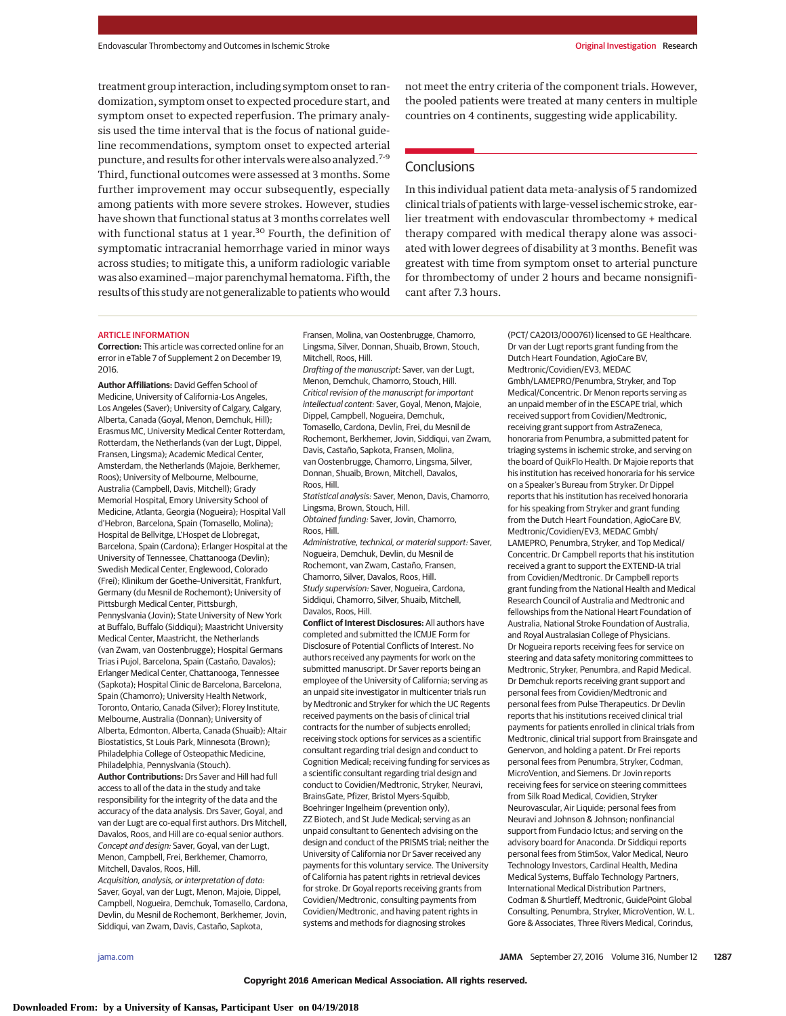treatment group interaction, including symptom onset to randomization, symptom onset to expected procedure start, and symptom onset to expected reperfusion. The primary analysis used the time interval that is the focus of national guideline recommendations, symptom onset to expected arterial puncture, and results for other intervals were also analyzed.7-9 Third, functional outcomes were assessed at 3 months. Some further improvement may occur subsequently, especially among patients with more severe strokes. However, studies have shown that functional status at 3 months correlates well with functional status at 1 year.<sup>30</sup> Fourth, the definition of symptomatic intracranial hemorrhage varied in minor ways across studies; to mitigate this, a uniform radiologic variable was also examined—major parenchymal hematoma. Fifth, the results of this study are not generalizable to patientswhowould

not meet the entry criteria of the component trials. However, the pooled patients were treated at many centers in multiple countries on 4 continents, suggesting wide applicability.

# **Conclusions**

In this individual patient data meta-analysis of 5 randomized clinical trials of patients with large-vessel ischemic stroke, earlier treatment with endovascular thrombectomy + medical therapy compared with medical therapy alone was associated with lower degrees of disability at 3 months. Benefit was greatest with time from symptom onset to arterial puncture for thrombectomy of under 2 hours and became nonsignificant after 7.3 hours.

#### ARTICLE INFORMATION

**Correction:** This article was corrected online for an error in eTable 7 of Supplement 2 on December 19, 2016.

**Author Affiliations:** David Geffen School of Medicine, University of California-Los Angeles, Los Angeles (Saver); University of Calgary, Calgary, Alberta, Canada (Goyal, Menon, Demchuk, Hill); Erasmus MC, University Medical Center Rotterdam, Rotterdam, the Netherlands (van der Lugt, Dippel, Fransen, Lingsma); Academic Medical Center, Amsterdam, the Netherlands (Majoie, Berkhemer, Roos); University of Melbourne, Melbourne, Australia (Campbell, Davis, Mitchell); Grady Memorial Hospital, Emory University School of Medicine, Atlanta, Georgia (Nogueira); Hospital Vall d'Hebron, Barcelona, Spain (Tomasello, Molina); Hospital de Bellvitge, L'Hospet de Llobregat, Barcelona, Spain (Cardona); Erlanger Hospital at the University of Tennessee, Chattanooga (Devlin); Swedish Medical Center, Englewood, Colorado (Frei); Klinikum der Goethe–Universität, Frankfurt, Germany (du Mesnil de Rochemont); University of Pittsburgh Medical Center, Pittsburgh Pennyslvania (Jovin); State University of New York at Buffalo, Buffalo (Siddiqui); Maastricht University Medical Center, Maastricht, the Netherlands (van Zwam, van Oostenbrugge); Hospital Germans Trias i Pujol, Barcelona, Spain (Castaño, Davalos); Erlanger Medical Center, Chattanooga, Tennessee (Sapkota); Hospital Clinic de Barcelona, Barcelona, Spain (Chamorro); University Health Network, Toronto, Ontario, Canada (Silver); Florey Institute, Melbourne, Australia (Donnan); University of Alberta, Edmonton, Alberta, Canada (Shuaib); Altair Biostatistics, St Louis Park, Minnesota (Brown); Philadelphia College of Osteopathic Medicine, Philadelphia, Pennyslvania (Stouch).

**Author Contributions:** Drs Saver and Hill had full access to all of the data in the study and take responsibility for the integrity of the data and the accuracy of the data analysis. Drs Saver, Goyal, and van der Lugt are co-equal first authors. Drs Mitchell, Davalos, Roos, and Hill are co-equal senior authors. Concept and design: Saver, Goyal, van der Lugt, Menon, Campbell, Frei, Berkhemer, Chamorro, Mitchell, Davalos, Roos, Hill.

Acquisition, analysis, or interpretation of data: Saver, Goyal, van der Lugt, Menon, Majoie, Dippel, Campbell, Nogueira, Demchuk, Tomasello, Cardona, Devlin, du Mesnil de Rochemont, Berkhemer, Jovin, Siddiqui, van Zwam, Davis, Castaño, Sapkota,

Fransen, Molina, van Oostenbrugge, Chamorro, Lingsma, Silver, Donnan, Shuaib, Brown, Stouch, Mitchell, Roos, Hill.

Drafting of the manuscript: Saver, van der Lugt, Menon, Demchuk, Chamorro, Stouch, Hill. Critical revision of the manuscript for important intellectual content: Saver, Goyal, Menon, Majoie, Dippel, Campbell, Nogueira, Demchuk, Tomasello, Cardona, Devlin, Frei, du Mesnil de Rochemont, Berkhemer, Jovin, Siddiqui, van Zwam, Davis, Castaño, Sapkota, Fransen, Molina, van Oostenbrugge, Chamorro, Lingsma, Silver, Donnan, Shuaib, Brown, Mitchell, Davalos, Roos, Hill.

Statistical analysis: Saver, Menon, Davis, Chamorro, Lingsma, Brown, Stouch, Hill. Obtained funding: Saver, Jovin, Chamorro, Roos, Hill.

Administrative, technical, or material support: Saver, Nogueira, Demchuk, Devlin, du Mesnil de Rochemont, van Zwam, Castaño, Fransen, Chamorro, Silver, Davalos, Roos, Hill. Study supervision: Saver, Nogueira, Cardona, Siddiqui, Chamorro, Silver, Shuaib, Mitchell, Davalos, Roos, Hill.

**Conflict of Interest Disclosures:** All authors have completed and submitted the ICMJE Form for Disclosure of Potential Conflicts of Interest. No authors received any payments for work on the submitted manuscript. Dr Saver reports being an employee of the University of California; serving as an unpaid site investigator in multicenter trials run by Medtronic and Stryker for which the UC Regents received payments on the basis of clinical trial contracts for the number of subjects enrolled; receiving stock options for services as a scientific consultant regarding trial design and conduct to Cognition Medical; receiving funding for services as a scientific consultant regarding trial design and conduct to Covidien/Medtronic, Stryker, Neuravi, BrainsGate, Pfizer, Bristol Myers-Squibb, Boehringer Ingelheim (prevention only), ZZ Biotech, and St Jude Medical; serving as an unpaid consultant to Genentech advising on the design and conduct of the PRISMS trial; neither the University of California nor Dr Saver received any payments for this voluntary service. The University of California has patent rights in retrieval devices for stroke. Dr Goyal reports receiving grants from Covidien/Medtronic, consulting payments from Covidien/Medtronic, and having patent rights in systems and methods for diagnosing strokes

(PCT/ CA2013/000761) licensed to GE Healthcare. Dr van der Lugt reports grant funding from the Dutch Heart Foundation, AgioCare BV, Medtronic/Covidien/EV3, MEDAC Gmbh/LAMEPRO/Penumbra, Stryker, and Top Medical/Concentric. Dr Menon reports serving as an unpaid member of in the ESCAPE trial, which received support from Covidien/Medtronic, receiving grant support from AstraZeneca, honoraria from Penumbra, a submitted patent for triaging systems in ischemic stroke, and serving on the board of QuikFlo Health. Dr Majoie reports that his institution has received honoraria for his service on a Speaker's Bureau from Stryker. Dr Dippel reports that his institution has received honoraria for his speaking from Stryker and grant funding from the Dutch Heart Foundation, AgioCare BV, Medtronic/Covidien/EV3, MEDAC Gmbh/ LAMEPRO, Penumbra, Stryker, and Top Medical/ Concentric. Dr Campbell reports that his institution received a grant to support the EXTEND-IA trial from Covidien/Medtronic. Dr Campbell reports grant funding from the National Health and Medical Research Council of Australia and Medtronic and fellowships from the National Heart Foundation of Australia, National Stroke Foundation of Australia, and Royal Australasian College of Physicians. Dr Nogueira reports receiving fees for service on steering and data safety monitoring committees to Medtronic, Stryker, Penumbra, and Rapid Medical. Dr Demchuk reports receiving grant support and personal fees from Covidien/Medtronic and personal fees from Pulse Therapeutics. Dr Devlin reports that his institutions received clinical trial payments for patients enrolled in clinical trials from Medtronic, clinical trial support from Brainsgate and Genervon, and holding a patent. Dr Frei reports personal fees from Penumbra, Stryker, Codman, MicroVention, and Siemens. Dr Jovin reports receiving fees for service on steering committees from Silk Road Medical, Covidien, Stryker Neurovascular, Air Liquide; personal fees from Neuravi and Johnson & Johnson; nonfinancial support from Fundacio Ictus; and serving on the advisory board for Anaconda. Dr Siddiqui reports personal fees from StimSox, Valor Medical, Neuro Technology Investors, Cardinal Health, Medina Medical Systems, Buffalo Technology Partners, International Medical Distribution Partners, Codman & Shurtleff, Medtronic, GuidePoint Global Consulting, Penumbra, Stryker, MicroVention, W. L. Gore & Associates, Three Rivers Medical, Corindus,